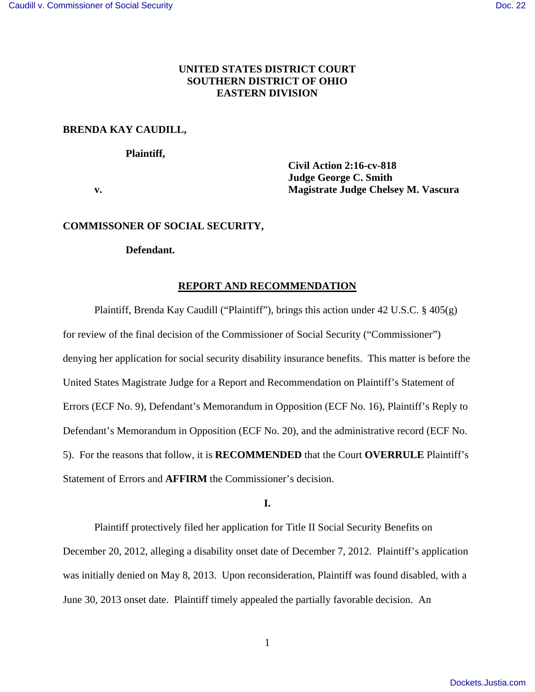# **UNITED STATES DISTRICT COURT SOUTHERN DISTRICT OF OHIO EASTERN DIVISION**

## **BRENDA KAY CAUDILL,**

#### **Plaintiff,**

 **Civil Action 2:16-cv-818 Judge George C. Smith v. Magistrate Judge Chelsey M. Vascura** 

### **COMMISSONER OF SOCIAL SECURITY,**

## **Defendant.**

#### **REPORT AND RECOMMENDATION**

 Plaintiff, Brenda Kay Caudill ("Plaintiff"), brings this action under 42 U.S.C. § 405(g) for review of the final decision of the Commissioner of Social Security ("Commissioner") denying her application for social security disability insurance benefits. This matter is before the United States Magistrate Judge for a Report and Recommendation on Plaintiff's Statement of Errors (ECF No. 9), Defendant's Memorandum in Opposition (ECF No. 16), Plaintiff's Reply to Defendant's Memorandum in Opposition (ECF No. 20), and the administrative record (ECF No. 5). For the reasons that follow, it is **RECOMMENDED** that the Court **OVERRULE** Plaintiff's Statement of Errors and **AFFIRM** the Commissioner's decision.

**I.** 

Plaintiff protectively filed her application for Title II Social Security Benefits on December 20, 2012, alleging a disability onset date of December 7, 2012. Plaintiff's application was initially denied on May 8, 2013. Upon reconsideration, Plaintiff was found disabled, with a June 30, 2013 onset date. Plaintiff timely appealed the partially favorable decision. An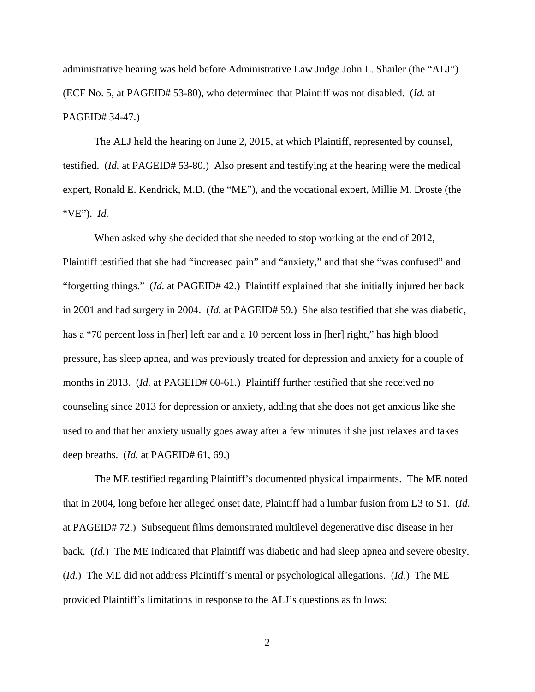administrative hearing was held before Administrative Law Judge John L. Shailer (the "ALJ") (ECF No. 5, at PAGEID# 53-80), who determined that Plaintiff was not disabled. (*Id.* at PAGEID# 34-47.)

The ALJ held the hearing on June 2, 2015, at which Plaintiff, represented by counsel, testified. (*Id.* at PAGEID# 53-80.) Also present and testifying at the hearing were the medical expert, Ronald E. Kendrick, M.D. (the "ME"), and the vocational expert, Millie M. Droste (the "VE"). *Id.*

When asked why she decided that she needed to stop working at the end of 2012, Plaintiff testified that she had "increased pain" and "anxiety," and that she "was confused" and "forgetting things." (*Id.* at PAGEID# 42.) Plaintiff explained that she initially injured her back in 2001 and had surgery in 2004. (*Id.* at PAGEID# 59.) She also testified that she was diabetic, has a "70 percent loss in [her] left ear and a 10 percent loss in [her] right," has high blood pressure, has sleep apnea, and was previously treated for depression and anxiety for a couple of months in 2013. (*Id.* at PAGEID# 60-61.) Plaintiff further testified that she received no counseling since 2013 for depression or anxiety, adding that she does not get anxious like she used to and that her anxiety usually goes away after a few minutes if she just relaxes and takes deep breaths. (*Id.* at PAGEID# 61, 69.)

The ME testified regarding Plaintiff's documented physical impairments. The ME noted that in 2004, long before her alleged onset date, Plaintiff had a lumbar fusion from L3 to S1. (*Id.* at PAGEID# 72.) Subsequent films demonstrated multilevel degenerative disc disease in her back. (*Id.*) The ME indicated that Plaintiff was diabetic and had sleep apnea and severe obesity. (*Id.*) The ME did not address Plaintiff's mental or psychological allegations. (*Id.*) The ME provided Plaintiff's limitations in response to the ALJ's questions as follows: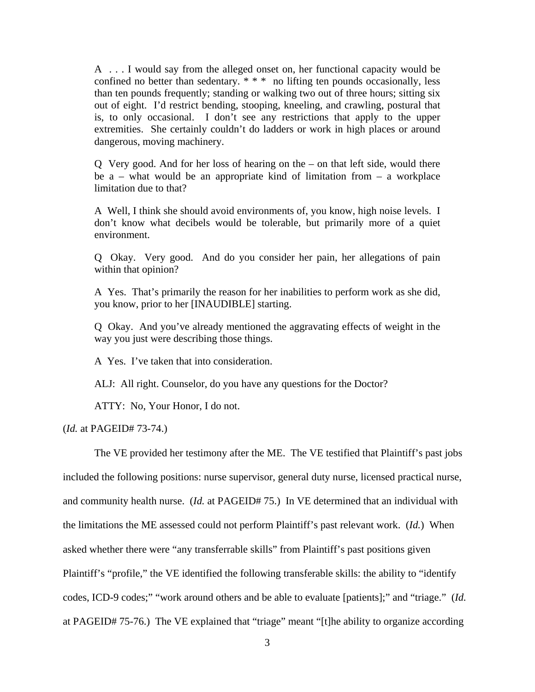A . . . I would say from the alleged onset on, her functional capacity would be confined no better than sedentary.  $* * *$  no lifting ten pounds occasionally, less than ten pounds frequently; standing or walking two out of three hours; sitting six out of eight. I'd restrict bending, stooping, kneeling, and crawling, postural that is, to only occasional. I don't see any restrictions that apply to the upper extremities. She certainly couldn't do ladders or work in high places or around dangerous, moving machinery.

Q Very good. And for her loss of hearing on the – on that left side, would there be  $a$  – what would be an appropriate kind of limitation from – a workplace limitation due to that?

A Well, I think she should avoid environments of, you know, high noise levels. I don't know what decibels would be tolerable, but primarily more of a quiet environment.

Q Okay. Very good. And do you consider her pain, her allegations of pain within that opinion?

A Yes. That's primarily the reason for her inabilities to perform work as she did, you know, prior to her [INAUDIBLE] starting.

Q Okay. And you've already mentioned the aggravating effects of weight in the way you just were describing those things.

A Yes. I've taken that into consideration.

ALJ: All right. Counselor, do you have any questions for the Doctor?

ATTY: No, Your Honor, I do not.

(*Id.* at PAGEID# 73-74.)

The VE provided her testimony after the ME. The VE testified that Plaintiff's past jobs included the following positions: nurse supervisor, general duty nurse, licensed practical nurse, and community health nurse. (*Id.* at PAGEID# 75.) In VE determined that an individual with the limitations the ME assessed could not perform Plaintiff's past relevant work. (*Id.*) When asked whether there were "any transferrable skills" from Plaintiff's past positions given Plaintiff's "profile," the VE identified the following transferable skills: the ability to "identify codes, ICD-9 codes;" "work around others and be able to evaluate [patients];" and "triage." (*Id.* at PAGEID# 75-76.) The VE explained that "triage" meant "[t]he ability to organize according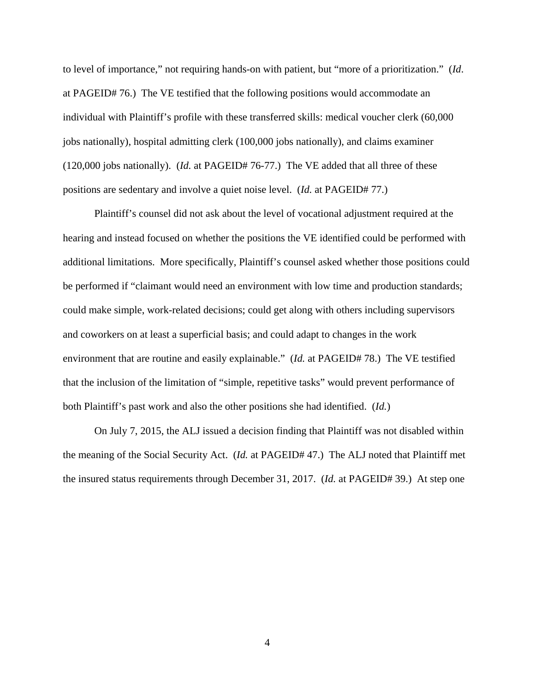to level of importance," not requiring hands-on with patient, but "more of a prioritization." (*Id*. at PAGEID# 76.) The VE testified that the following positions would accommodate an individual with Plaintiff's profile with these transferred skills: medical voucher clerk (60,000 jobs nationally), hospital admitting clerk (100,000 jobs nationally), and claims examiner (120,000 jobs nationally). (*Id.* at PAGEID# 76-77.) The VE added that all three of these positions are sedentary and involve a quiet noise level. (*Id.* at PAGEID# 77.)

Plaintiff's counsel did not ask about the level of vocational adjustment required at the hearing and instead focused on whether the positions the VE identified could be performed with additional limitations. More specifically, Plaintiff's counsel asked whether those positions could be performed if "claimant would need an environment with low time and production standards; could make simple, work-related decisions; could get along with others including supervisors and coworkers on at least a superficial basis; and could adapt to changes in the work environment that are routine and easily explainable." (*Id.* at PAGEID# 78.) The VE testified that the inclusion of the limitation of "simple, repetitive tasks" would prevent performance of both Plaintiff's past work and also the other positions she had identified. (*Id.*)

On July 7, 2015, the ALJ issued a decision finding that Plaintiff was not disabled within the meaning of the Social Security Act. (*Id.* at PAGEID# 47.) The ALJ noted that Plaintiff met the insured status requirements through December 31, 2017. (*Id.* at PAGEID# 39.) At step one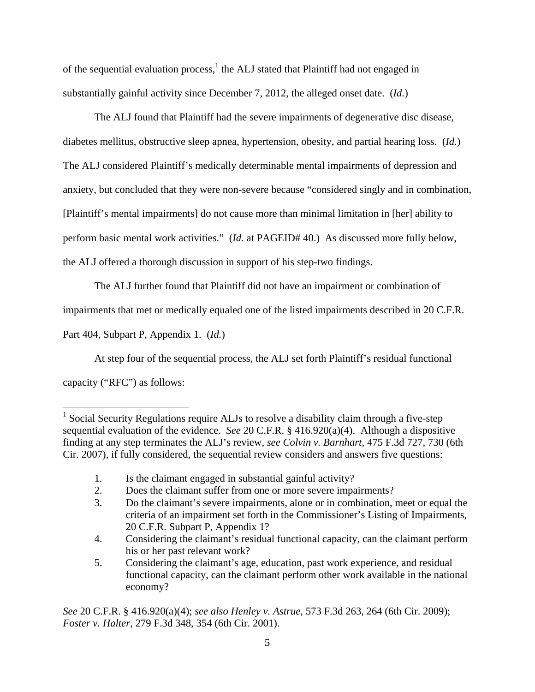of the sequential evaluation process, $<sup>1</sup>$  the ALJ stated that Plaintiff had not engaged in</sup> substantially gainful activity since December 7, 2012, the alleged onset date. (*Id.*)

The ALJ found that Plaintiff had the severe impairments of degenerative disc disease, diabetes mellitus, obstructive sleep apnea, hypertension, obesity, and partial hearing loss. (*Id.*) The ALJ considered Plaintiff's medically determinable mental impairments of depression and anxiety, but concluded that they were non-severe because "considered singly and in combination, [Plaintiff's mental impairments] do not cause more than minimal limitation in [her] ability to perform basic mental work activities." (*Id.* at PAGEID# 40.) As discussed more fully below, the ALJ offered a thorough discussion in support of his step-two findings.

The ALJ further found that Plaintiff did not have an impairment or combination of

impairments that met or medically equaled one of the listed impairments described in 20 C.F.R.

Part 404, Subpart P, Appendix 1. (*Id.*)

At step four of the sequential process, the ALJ set forth Plaintiff's residual functional capacity ("RFC") as follows:

*See* 20 C.F.R. § 416.920(a)(4); *see also Henley v. Astrue*, 573 F.3d 263, 264 (6th Cir. 2009); *Foster v. Halter*, 279 F.3d 348, 354 (6th Cir. 2001).

 1 Social Security Regulations require ALJs to resolve a disability claim through a five-step sequential evaluation of the evidence. *See* 20 C.F.R. § 416.920(a)(4). Although a dispositive finding at any step terminates the ALJ's review, *see Colvin v. Barnhart*, 475 F.3d 727, 730 (6th Cir. 2007), if fully considered, the sequential review considers and answers five questions:

 <sup>1.</sup> Is the claimant engaged in substantial gainful activity?

 <sup>2.</sup> Does the claimant suffer from one or more severe impairments?

 <sup>3.</sup> Do the claimant's severe impairments, alone or in combination, meet or equal the criteria of an impairment set forth in the Commissioner's Listing of Impairments, 20 C.F.R. Subpart P, Appendix 1?

 <sup>4.</sup> Considering the claimant's residual functional capacity, can the claimant perform his or her past relevant work?

 <sup>5.</sup> Considering the claimant's age, education, past work experience, and residual functional capacity, can the claimant perform other work available in the national economy?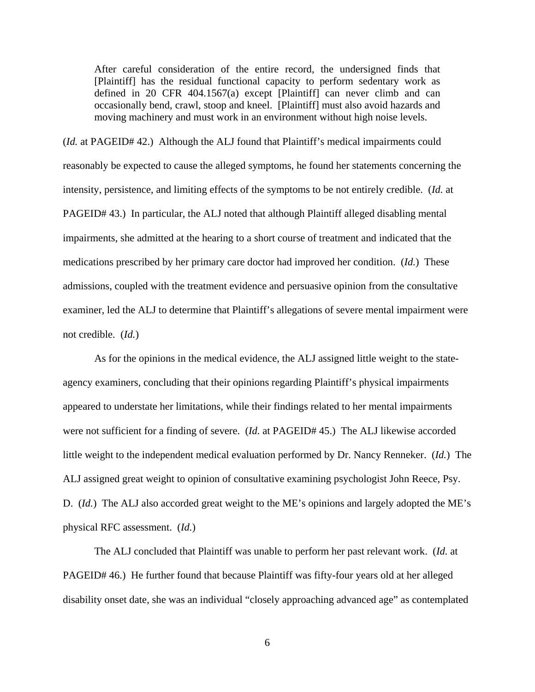After careful consideration of the entire record, the undersigned finds that [Plaintiff] has the residual functional capacity to perform sedentary work as defined in 20 CFR 404.1567(a) except [Plaintiff] can never climb and can occasionally bend, crawl, stoop and kneel. [Plaintiff] must also avoid hazards and moving machinery and must work in an environment without high noise levels.

(*Id.* at PAGEID# 42.) Although the ALJ found that Plaintiff's medical impairments could reasonably be expected to cause the alleged symptoms, he found her statements concerning the intensity, persistence, and limiting effects of the symptoms to be not entirely credible. (*Id.* at PAGEID# 43.) In particular, the ALJ noted that although Plaintiff alleged disabling mental impairments, she admitted at the hearing to a short course of treatment and indicated that the medications prescribed by her primary care doctor had improved her condition. (*Id.*) These admissions, coupled with the treatment evidence and persuasive opinion from the consultative examiner, led the ALJ to determine that Plaintiff's allegations of severe mental impairment were not credible. (*Id.*)

As for the opinions in the medical evidence, the ALJ assigned little weight to the stateagency examiners, concluding that their opinions regarding Plaintiff's physical impairments appeared to understate her limitations, while their findings related to her mental impairments were not sufficient for a finding of severe. (*Id.* at PAGEID# 45.) The ALJ likewise accorded little weight to the independent medical evaluation performed by Dr. Nancy Renneker. (*Id.*) The ALJ assigned great weight to opinion of consultative examining psychologist John Reece, Psy. D. (*Id.*) The ALJ also accorded great weight to the ME's opinions and largely adopted the ME's physical RFC assessment. (*Id.*)

The ALJ concluded that Plaintiff was unable to perform her past relevant work. (*Id.* at PAGEID# 46.) He further found that because Plaintiff was fifty-four years old at her alleged disability onset date, she was an individual "closely approaching advanced age" as contemplated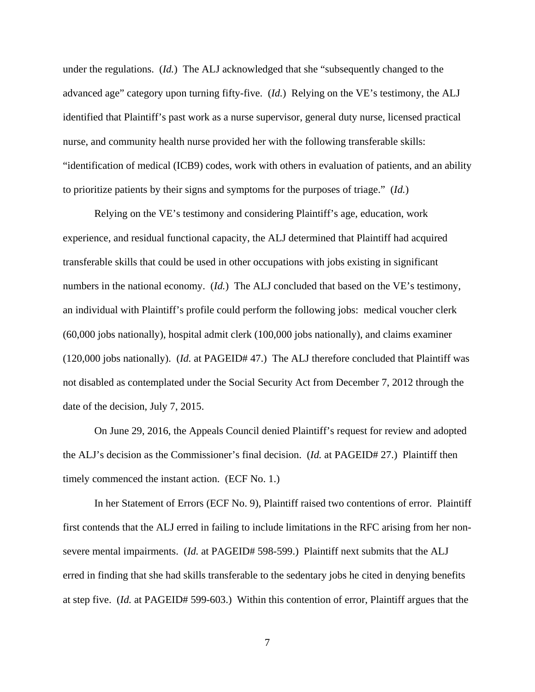under the regulations. (*Id.*) The ALJ acknowledged that she "subsequently changed to the advanced age" category upon turning fifty-five. (*Id.*) Relying on the VE's testimony, the ALJ identified that Plaintiff's past work as a nurse supervisor, general duty nurse, licensed practical nurse, and community health nurse provided her with the following transferable skills: "identification of medical (ICB9) codes, work with others in evaluation of patients, and an ability to prioritize patients by their signs and symptoms for the purposes of triage." (*Id.*)

Relying on the VE's testimony and considering Plaintiff's age, education, work experience, and residual functional capacity, the ALJ determined that Plaintiff had acquired transferable skills that could be used in other occupations with jobs existing in significant numbers in the national economy. (*Id.*) The ALJ concluded that based on the VE's testimony, an individual with Plaintiff's profile could perform the following jobs: medical voucher clerk (60,000 jobs nationally), hospital admit clerk (100,000 jobs nationally), and claims examiner (120,000 jobs nationally). (*Id.* at PAGEID# 47.) The ALJ therefore concluded that Plaintiff was not disabled as contemplated under the Social Security Act from December 7, 2012 through the date of the decision, July 7, 2015.

 On June 29, 2016, the Appeals Council denied Plaintiff's request for review and adopted the ALJ's decision as the Commissioner's final decision. (*Id.* at PAGEID# 27.) Plaintiff then timely commenced the instant action. (ECF No. 1.)

 In her Statement of Errors (ECF No. 9), Plaintiff raised two contentions of error. Plaintiff first contends that the ALJ erred in failing to include limitations in the RFC arising from her nonsevere mental impairments. (*Id.* at PAGEID# 598-599.) Plaintiff next submits that the ALJ erred in finding that she had skills transferable to the sedentary jobs he cited in denying benefits at step five. (*Id.* at PAGEID# 599-603.) Within this contention of error, Plaintiff argues that the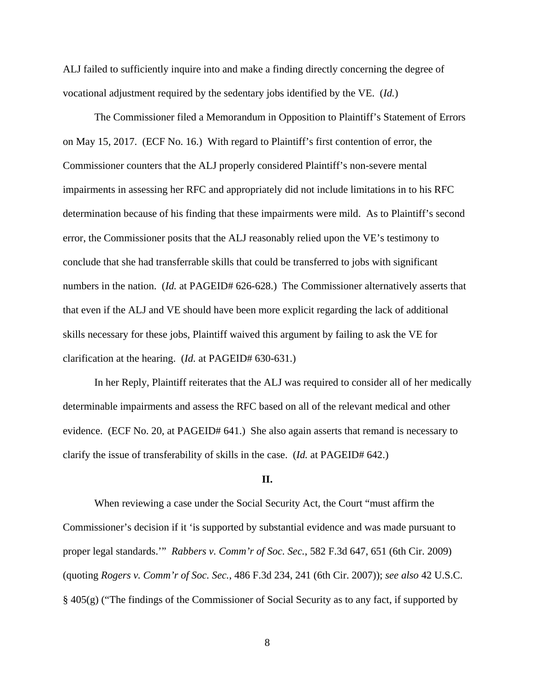ALJ failed to sufficiently inquire into and make a finding directly concerning the degree of vocational adjustment required by the sedentary jobs identified by the VE. (*Id.*)

 The Commissioner filed a Memorandum in Opposition to Plaintiff's Statement of Errors on May 15, 2017. (ECF No. 16.) With regard to Plaintiff's first contention of error, the Commissioner counters that the ALJ properly considered Plaintiff's non-severe mental impairments in assessing her RFC and appropriately did not include limitations in to his RFC determination because of his finding that these impairments were mild. As to Plaintiff's second error, the Commissioner posits that the ALJ reasonably relied upon the VE's testimony to conclude that she had transferrable skills that could be transferred to jobs with significant numbers in the nation. (*Id.* at PAGEID# 626-628.) The Commissioner alternatively asserts that that even if the ALJ and VE should have been more explicit regarding the lack of additional skills necessary for these jobs, Plaintiff waived this argument by failing to ask the VE for clarification at the hearing. (*Id.* at PAGEID# 630-631.)

 In her Reply, Plaintiff reiterates that the ALJ was required to consider all of her medically determinable impairments and assess the RFC based on all of the relevant medical and other evidence. (ECF No. 20, at PAGEID# 641.) She also again asserts that remand is necessary to clarify the issue of transferability of skills in the case. (*Id.* at PAGEID# 642.)

#### **II.**

 When reviewing a case under the Social Security Act, the Court "must affirm the Commissioner's decision if it 'is supported by substantial evidence and was made pursuant to proper legal standards.'" *Rabbers v. Comm'r of Soc. Sec.*, 582 F.3d 647, 651 (6th Cir. 2009) (quoting *Rogers v. Comm'r of Soc. Sec.*, 486 F.3d 234, 241 (6th Cir. 2007)); *see also* 42 U.S.C. § 405(g) ("The findings of the Commissioner of Social Security as to any fact, if supported by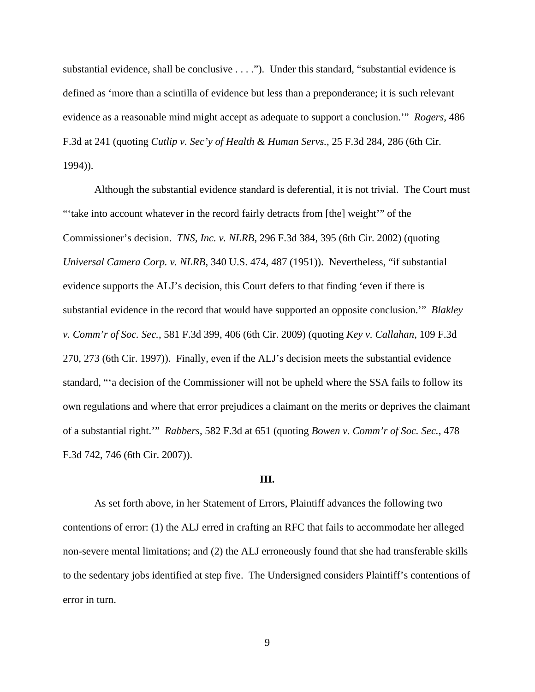substantial evidence, shall be conclusive . . . ."). Under this standard, "substantial evidence is defined as 'more than a scintilla of evidence but less than a preponderance; it is such relevant evidence as a reasonable mind might accept as adequate to support a conclusion.'" *Rogers*, 486 F.3d at 241 (quoting *Cutlip v. Sec'y of Health & Human Servs.*, 25 F.3d 284, 286 (6th Cir. 1994)).

 Although the substantial evidence standard is deferential, it is not trivial. The Court must "'take into account whatever in the record fairly detracts from [the] weight'" of the Commissioner's decision. *TNS, Inc. v. NLRB*, 296 F.3d 384, 395 (6th Cir. 2002) (quoting *Universal Camera Corp. v. NLRB*, 340 U.S. 474, 487 (1951)). Nevertheless, "if substantial evidence supports the ALJ's decision, this Court defers to that finding 'even if there is substantial evidence in the record that would have supported an opposite conclusion.'" *Blakley v. Comm'r of Soc. Sec.*, 581 F.3d 399, 406 (6th Cir. 2009) (quoting *Key v. Callahan*, 109 F.3d 270, 273 (6th Cir. 1997)). Finally, even if the ALJ's decision meets the substantial evidence standard, "'a decision of the Commissioner will not be upheld where the SSA fails to follow its own regulations and where that error prejudices a claimant on the merits or deprives the claimant of a substantial right.'" *Rabbers*, 582 F.3d at 651 (quoting *Bowen v. Comm'r of Soc. Sec.*, 478 F.3d 742, 746 (6th Cir. 2007)).

#### **III.**

 As set forth above, in her Statement of Errors, Plaintiff advances the following two contentions of error: (1) the ALJ erred in crafting an RFC that fails to accommodate her alleged non-severe mental limitations; and (2) the ALJ erroneously found that she had transferable skills to the sedentary jobs identified at step five. The Undersigned considers Plaintiff's contentions of error in turn.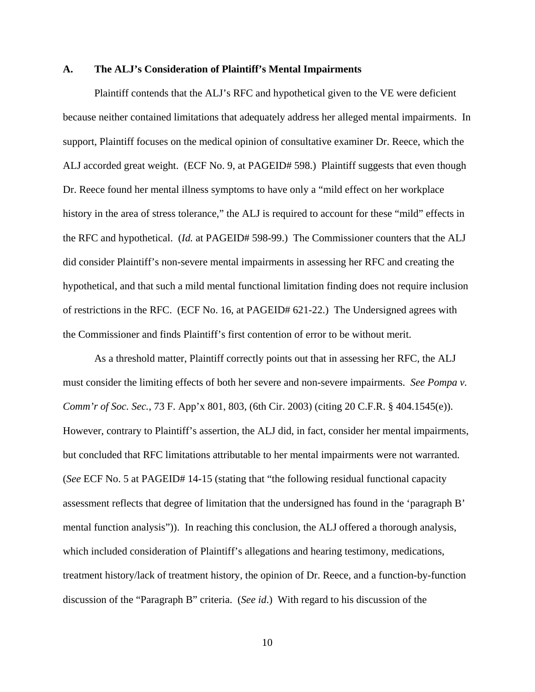#### **A. The ALJ's Consideration of Plaintiff's Mental Impairments**

 Plaintiff contends that the ALJ's RFC and hypothetical given to the VE were deficient because neither contained limitations that adequately address her alleged mental impairments. In support, Plaintiff focuses on the medical opinion of consultative examiner Dr. Reece, which the ALJ accorded great weight. (ECF No. 9, at PAGEID# 598.) Plaintiff suggests that even though Dr. Reece found her mental illness symptoms to have only a "mild effect on her workplace history in the area of stress tolerance," the ALJ is required to account for these "mild" effects in the RFC and hypothetical. (*Id.* at PAGEID# 598-99.) The Commissioner counters that the ALJ did consider Plaintiff's non-severe mental impairments in assessing her RFC and creating the hypothetical, and that such a mild mental functional limitation finding does not require inclusion of restrictions in the RFC. (ECF No. 16, at PAGEID# 621-22.) The Undersigned agrees with the Commissioner and finds Plaintiff's first contention of error to be without merit.

 As a threshold matter, Plaintiff correctly points out that in assessing her RFC, the ALJ must consider the limiting effects of both her severe and non-severe impairments. *See Pompa v. Comm'r of Soc. Sec.*, 73 F. App'x 801, 803, (6th Cir. 2003) (citing 20 C.F.R. § 404.1545(e)). However, contrary to Plaintiff's assertion, the ALJ did, in fact, consider her mental impairments, but concluded that RFC limitations attributable to her mental impairments were not warranted. (*See* ECF No. 5 at PAGEID# 14-15 (stating that "the following residual functional capacity assessment reflects that degree of limitation that the undersigned has found in the 'paragraph B' mental function analysis")). In reaching this conclusion, the ALJ offered a thorough analysis, which included consideration of Plaintiff's allegations and hearing testimony, medications, treatment history/lack of treatment history, the opinion of Dr. Reece, and a function-by-function discussion of the "Paragraph B" criteria. (*See id*.) With regard to his discussion of the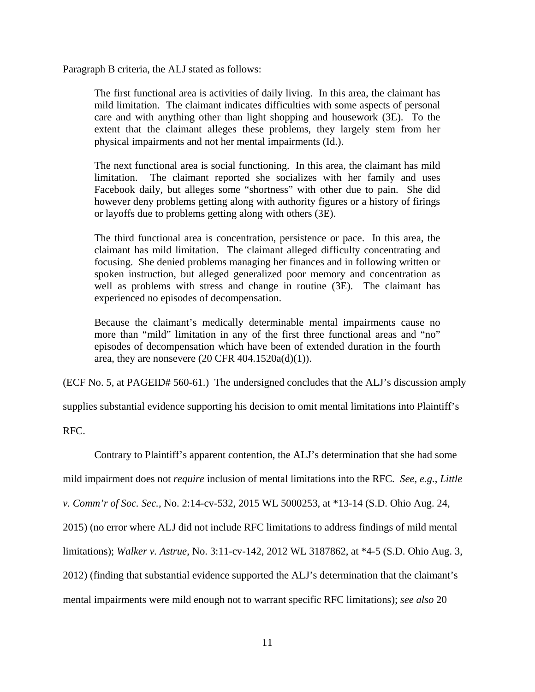Paragraph B criteria, the ALJ stated as follows:

The first functional area is activities of daily living. In this area, the claimant has mild limitation. The claimant indicates difficulties with some aspects of personal care and with anything other than light shopping and housework (3E). To the extent that the claimant alleges these problems, they largely stem from her physical impairments and not her mental impairments (Id.).

The next functional area is social functioning. In this area, the claimant has mild limitation. The claimant reported she socializes with her family and uses Facebook daily, but alleges some "shortness" with other due to pain. She did however deny problems getting along with authority figures or a history of firings or layoffs due to problems getting along with others (3E).

The third functional area is concentration, persistence or pace. In this area, the claimant has mild limitation. The claimant alleged difficulty concentrating and focusing. She denied problems managing her finances and in following written or spoken instruction, but alleged generalized poor memory and concentration as well as problems with stress and change in routine (3E). The claimant has experienced no episodes of decompensation.

Because the claimant's medically determinable mental impairments cause no more than "mild" limitation in any of the first three functional areas and "no" episodes of decompensation which have been of extended duration in the fourth area, they are nonsevere  $(20 \text{ CFR } 404.1520a(d)(1)).$ 

(ECF No. 5, at PAGEID# 560-61.) The undersigned concludes that the ALJ's discussion amply

supplies substantial evidence supporting his decision to omit mental limitations into Plaintiff's

RFC.

Contrary to Plaintiff's apparent contention, the ALJ's determination that she had some

mild impairment does not *require* inclusion of mental limitations into the RFC. *See, e.g.*, *Little* 

*v. Comm'r of Soc. Sec.*, No. 2:14-cv-532, 2015 WL 5000253, at \*13-14 (S.D. Ohio Aug. 24,

2015) (no error where ALJ did not include RFC limitations to address findings of mild mental

limitations); *Walker v. Astrue*, No. 3:11-cv-142, 2012 WL 3187862, at \*4-5 (S.D. Ohio Aug. 3,

2012) (finding that substantial evidence supported the ALJ's determination that the claimant's

mental impairments were mild enough not to warrant specific RFC limitations); *see also* 20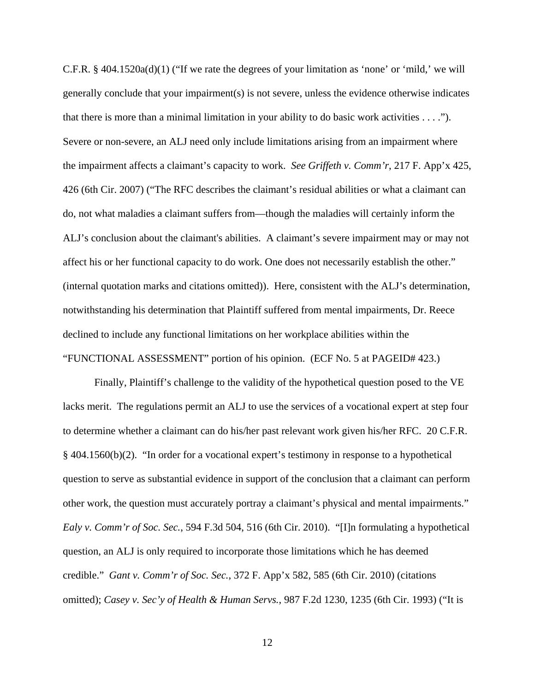C.F.R. § 404.1520a(d)(1) ("If we rate the degrees of your limitation as 'none' or 'mild,' we will generally conclude that your impairment(s) is not severe, unless the evidence otherwise indicates that there is more than a minimal limitation in your ability to do basic work activities . . . ."). Severe or non-severe, an ALJ need only include limitations arising from an impairment where the impairment affects a claimant's capacity to work. *See Griffeth v. Comm'r*, 217 F. App'x 425, 426 (6th Cir. 2007) ("The RFC describes the claimant's residual abilities or what a claimant can do, not what maladies a claimant suffers from—though the maladies will certainly inform the ALJ's conclusion about the claimant's abilities. A claimant's severe impairment may or may not affect his or her functional capacity to do work. One does not necessarily establish the other." (internal quotation marks and citations omitted)). Here, consistent with the ALJ's determination, notwithstanding his determination that Plaintiff suffered from mental impairments, Dr. Reece declined to include any functional limitations on her workplace abilities within the "FUNCTIONAL ASSESSMENT" portion of his opinion. (ECF No. 5 at PAGEID# 423.)

Finally, Plaintiff's challenge to the validity of the hypothetical question posed to the VE lacks merit. The regulations permit an ALJ to use the services of a vocational expert at step four to determine whether a claimant can do his/her past relevant work given his/her RFC. 20 C.F.R. § 404.1560(b)(2). "In order for a vocational expert's testimony in response to a hypothetical question to serve as substantial evidence in support of the conclusion that a claimant can perform other work, the question must accurately portray a claimant's physical and mental impairments." *Ealy v. Comm'r of Soc. Sec.*, 594 F.3d 504, 516 (6th Cir. 2010). "[I]n formulating a hypothetical question, an ALJ is only required to incorporate those limitations which he has deemed credible." *Gant v. Comm'r of Soc. Sec.*, 372 F. App'x 582, 585 (6th Cir. 2010) (citations omitted); *Casey v. Sec'y of Health & Human Servs.*, 987 F.2d 1230, 1235 (6th Cir. 1993) ("It is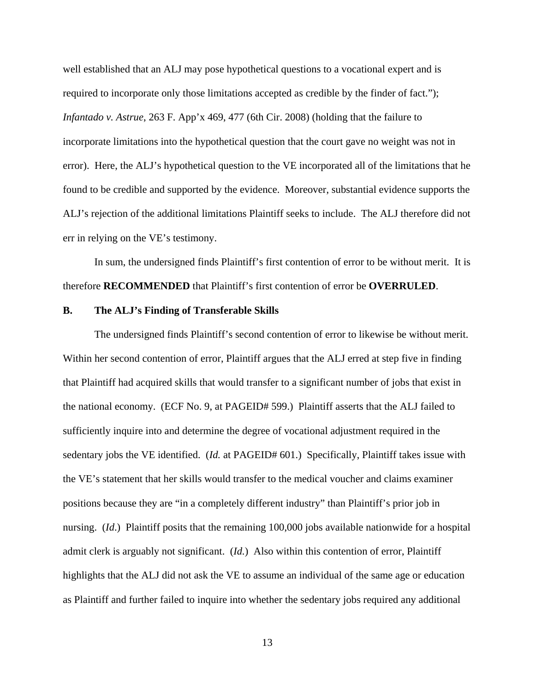well established that an ALJ may pose hypothetical questions to a vocational expert and is required to incorporate only those limitations accepted as credible by the finder of fact."); *Infantado v. Astrue*, 263 F. App'x 469, 477 (6th Cir. 2008) (holding that the failure to incorporate limitations into the hypothetical question that the court gave no weight was not in error). Here, the ALJ's hypothetical question to the VE incorporated all of the limitations that he found to be credible and supported by the evidence. Moreover, substantial evidence supports the ALJ's rejection of the additional limitations Plaintiff seeks to include. The ALJ therefore did not err in relying on the VE's testimony.

 In sum, the undersigned finds Plaintiff's first contention of error to be without merit. It is therefore **RECOMMENDED** that Plaintiff's first contention of error be **OVERRULED**.

### **B. The ALJ's Finding of Transferable Skills**

 The undersigned finds Plaintiff's second contention of error to likewise be without merit. Within her second contention of error, Plaintiff argues that the ALJ erred at step five in finding that Plaintiff had acquired skills that would transfer to a significant number of jobs that exist in the national economy. (ECF No. 9, at PAGEID# 599.) Plaintiff asserts that the ALJ failed to sufficiently inquire into and determine the degree of vocational adjustment required in the sedentary jobs the VE identified. (*Id.* at PAGEID# 601.) Specifically, Plaintiff takes issue with the VE's statement that her skills would transfer to the medical voucher and claims examiner positions because they are "in a completely different industry" than Plaintiff's prior job in nursing. (*Id*.) Plaintiff posits that the remaining 100,000 jobs available nationwide for a hospital admit clerk is arguably not significant. (*Id.*) Also within this contention of error, Plaintiff highlights that the ALJ did not ask the VE to assume an individual of the same age or education as Plaintiff and further failed to inquire into whether the sedentary jobs required any additional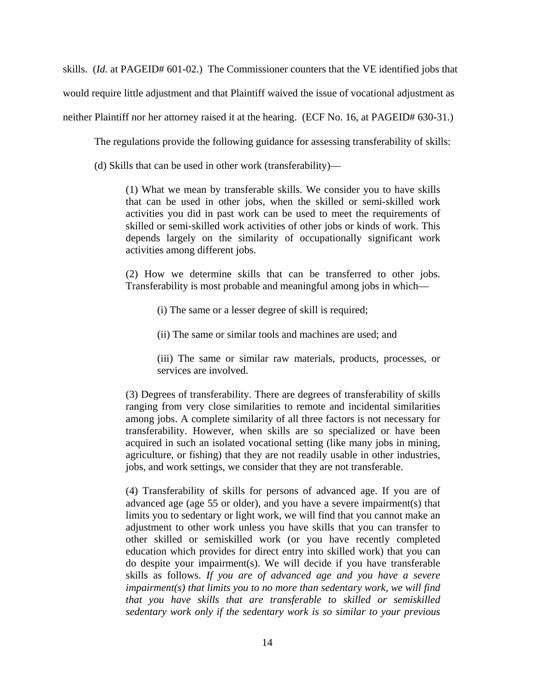skills. (*Id.* at PAGEID# 601-02.) The Commissioner counters that the VE identified jobs that would require little adjustment and that Plaintiff waived the issue of vocational adjustment as neither Plaintiff nor her attorney raised it at the hearing. (ECF No. 16, at PAGEID# 630-31.)

The regulations provide the following guidance for assessing transferability of skills:

(d) Skills that can be used in other work (transferability)—

(1) What we mean by transferable skills. We consider you to have skills that can be used in other jobs, when the skilled or semi-skilled work activities you did in past work can be used to meet the requirements of skilled or semi-skilled work activities of other jobs or kinds of work. This depends largely on the similarity of occupationally significant work activities among different jobs.

(2) How we determine skills that can be transferred to other jobs. Transferability is most probable and meaningful among jobs in which—

(i) The same or a lesser degree of skill is required;

(ii) The same or similar tools and machines are used; and

(iii) The same or similar raw materials, products, processes, or services are involved.

(3) Degrees of transferability. There are degrees of transferability of skills ranging from very close similarities to remote and incidental similarities among jobs. A complete similarity of all three factors is not necessary for transferability. However, when skills are so specialized or have been acquired in such an isolated vocational setting (like many jobs in mining, agriculture, or fishing) that they are not readily usable in other industries, jobs, and work settings, we consider that they are not transferable.

(4) Transferability of skills for persons of advanced age. If you are of advanced age (age 55 or older), and you have a severe impairment(s) that limits you to sedentary or light work, we will find that you cannot make an adjustment to other work unless you have skills that you can transfer to other skilled or semiskilled work (or you have recently completed education which provides for direct entry into skilled work) that you can do despite your impairment(s). We will decide if you have transferable skills as follows. *If you are of advanced age and you have a severe impairment(s) that limits you to no more than sedentary work, we will find that you have skills that are transferable to skilled or semiskilled sedentary work only if the sedentary work is so similar to your previous*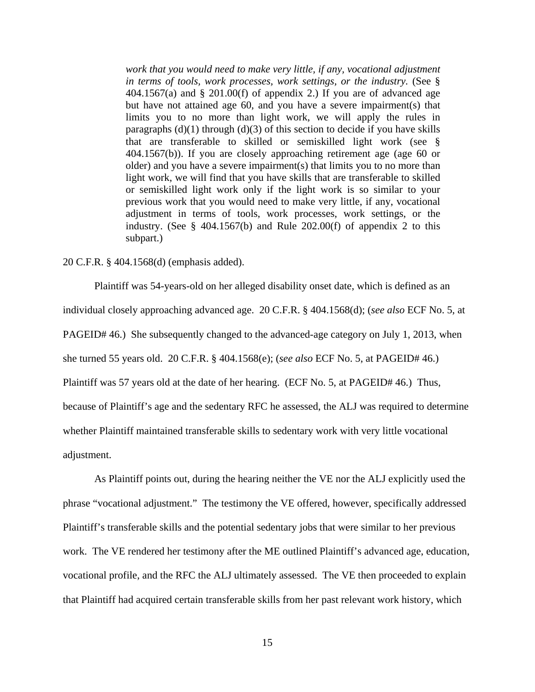work that you would need to make very little, if any, vocational adjustment *in terms of tools, work processes, work settings, or the industry.* (See §  $404.1567(a)$  and § 201.00(f) of appendix 2.) If you are of advanced age but have not attained age 60, and you have a severe impairment(s) that limits you to no more than light work, we will apply the rules in paragraphs  $(d)(1)$  through  $(d)(3)$  of this section to decide if you have skills that are transferable to skilled or semiskilled light work (see § 404.1567(b)). If you are closely approaching retirement age (age 60 or older) and you have a severe impairment(s) that limits you to no more than light work, we will find that you have skills that are transferable to skilled or semiskilled light work only if the light work is so similar to your previous work that you would need to make very little, if any, vocational adjustment in terms of tools, work processes, work settings, or the industry. (See  $\S$  404.1567(b) and Rule 202.00(f) of appendix 2 to this subpart.)

#### 20 C.F.R. § 404.1568(d) (emphasis added).

 Plaintiff was 54-years-old on her alleged disability onset date, which is defined as an individual closely approaching advanced age. 20 C.F.R. § 404.1568(d); (*see also* ECF No. 5, at PAGEID# 46.) She subsequently changed to the advanced-age category on July 1, 2013, when she turned 55 years old. 20 C.F.R. § 404.1568(e); (*see also* ECF No. 5, at PAGEID# 46.) Plaintiff was 57 years old at the date of her hearing. (ECF No. 5, at PAGEID# 46.) Thus, because of Plaintiff's age and the sedentary RFC he assessed, the ALJ was required to determine whether Plaintiff maintained transferable skills to sedentary work with very little vocational adjustment.

As Plaintiff points out, during the hearing neither the VE nor the ALJ explicitly used the phrase "vocational adjustment." The testimony the VE offered, however, specifically addressed Plaintiff's transferable skills and the potential sedentary jobs that were similar to her previous work. The VE rendered her testimony after the ME outlined Plaintiff's advanced age, education, vocational profile, and the RFC the ALJ ultimately assessed. The VE then proceeded to explain that Plaintiff had acquired certain transferable skills from her past relevant work history, which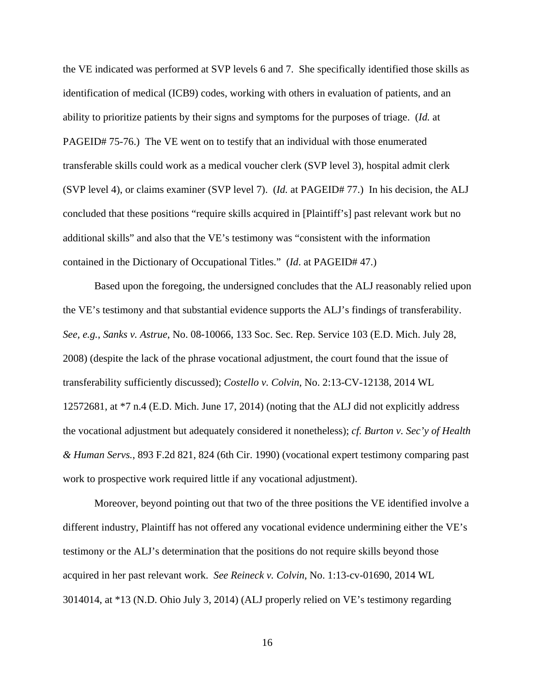the VE indicated was performed at SVP levels 6 and 7. She specifically identified those skills as identification of medical (ICB9) codes, working with others in evaluation of patients, and an ability to prioritize patients by their signs and symptoms for the purposes of triage. (*Id.* at PAGEID# 75-76.) The VE went on to testify that an individual with those enumerated transferable skills could work as a medical voucher clerk (SVP level 3), hospital admit clerk (SVP level 4), or claims examiner (SVP level 7). (*Id.* at PAGEID# 77.) In his decision, the ALJ concluded that these positions "require skills acquired in [Plaintiff's] past relevant work but no additional skills" and also that the VE's testimony was "consistent with the information contained in the Dictionary of Occupational Titles." (*Id*. at PAGEID# 47.)

Based upon the foregoing, the undersigned concludes that the ALJ reasonably relied upon the VE's testimony and that substantial evidence supports the ALJ's findings of transferability. *See, e.g.*, *Sanks v. Astrue*, No. 08-10066, 133 Soc. Sec. Rep. Service 103 (E.D. Mich. July 28, 2008) (despite the lack of the phrase vocational adjustment, the court found that the issue of transferability sufficiently discussed); *Costello v. Colvin*, No. 2:13-CV-12138, 2014 WL 12572681, at \*7 n.4 (E.D. Mich. June 17, 2014) (noting that the ALJ did not explicitly address the vocational adjustment but adequately considered it nonetheless); *cf. Burton v. Sec'y of Health & Human Servs.*, 893 F.2d 821, 824 (6th Cir. 1990) (vocational expert testimony comparing past work to prospective work required little if any vocational adjustment).

 Moreover, beyond pointing out that two of the three positions the VE identified involve a different industry, Plaintiff has not offered any vocational evidence undermining either the VE's testimony or the ALJ's determination that the positions do not require skills beyond those acquired in her past relevant work. *See Reineck v. Colvin*, No. 1:13-cv-01690, 2014 WL 3014014, at \*13 (N.D. Ohio July 3, 2014) (ALJ properly relied on VE's testimony regarding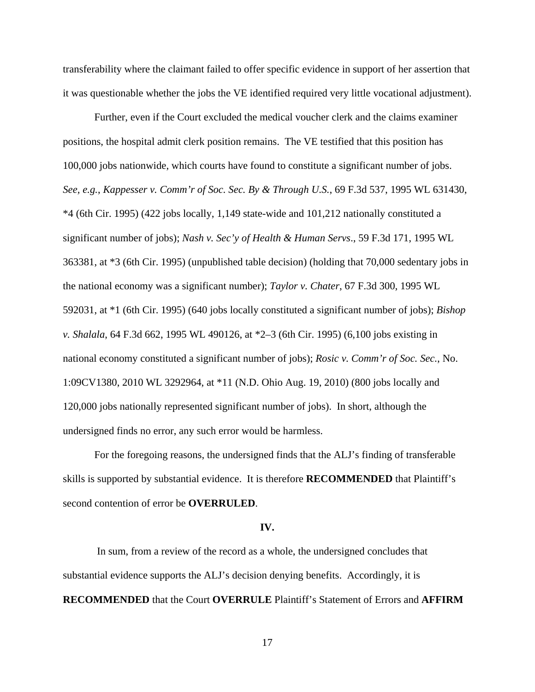transferability where the claimant failed to offer specific evidence in support of her assertion that it was questionable whether the jobs the VE identified required very little vocational adjustment).

Further, even if the Court excluded the medical voucher clerk and the claims examiner positions, the hospital admit clerk position remains. The VE testified that this position has 100,000 jobs nationwide, which courts have found to constitute a significant number of jobs. *See, e.g.*, *Kappesser v. Comm'r of Soc. Sec. By & Through U.S.*, 69 F.3d 537, 1995 WL 631430, \*4 (6th Cir. 1995) (422 jobs locally, 1,149 state-wide and 101,212 nationally constituted a significant number of jobs); *Nash v. Sec'y of Health & Human Servs*., 59 F.3d 171, 1995 WL 363381, at \*3 (6th Cir. 1995) (unpublished table decision) (holding that 70,000 sedentary jobs in the national economy was a significant number); *Taylor v. Chater*, 67 F.3d 300, 1995 WL 592031, at \*1 (6th Cir. 1995) (640 jobs locally constituted a significant number of jobs); *Bishop v. Shalala*, 64 F.3d 662, 1995 WL 490126, at \*2–3 (6th Cir. 1995) (6,100 jobs existing in national economy constituted a significant number of jobs); *Rosic v. Comm'r of Soc. Sec.*, No. 1:09CV1380, 2010 WL 3292964, at \*11 (N.D. Ohio Aug. 19, 2010) (800 jobs locally and 120,000 jobs nationally represented significant number of jobs). In short, although the undersigned finds no error, any such error would be harmless.

 For the foregoing reasons, the undersigned finds that the ALJ's finding of transferable skills is supported by substantial evidence. It is therefore **RECOMMENDED** that Plaintiff's second contention of error be **OVERRULED**.

#### **IV.**

 In sum, from a review of the record as a whole, the undersigned concludes that substantial evidence supports the ALJ's decision denying benefits. Accordingly, it is **RECOMMENDED** that the Court **OVERRULE** Plaintiff's Statement of Errors and **AFFIRM**